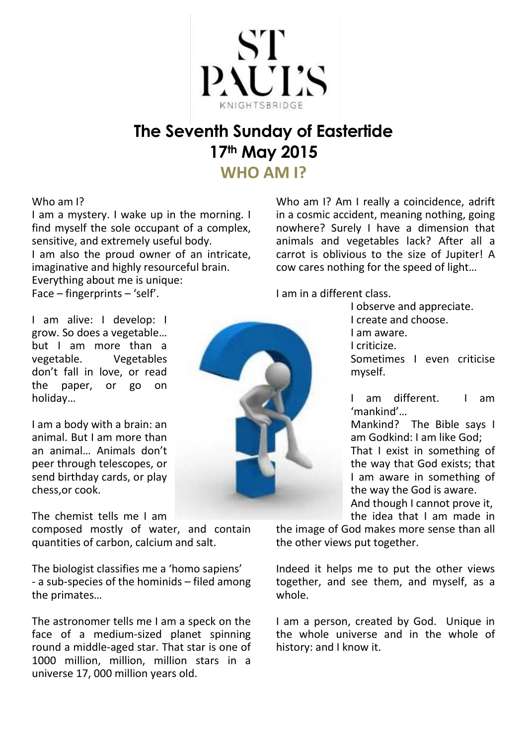

# **The Seventh Sunday of Eastertide 17th May 2015**

**WHO AM I?**

#### Who am I?

I am a mystery. I wake up in the morning. I find myself the sole occupant of a complex. sensitive, and extremely useful body. I am also the proud owner of an intricate, imaginative and highly resourceful brain. Everything about me is unique: Face – fingerprints – 'self'.

Who am I? Am I really a coincidence, adrift in a cosmic accident, meaning nothing, going nowhere? Surely I have a dimension that animals and vegetables lack? After all a carrot is oblivious to the size of Jupiter! A cow cares nothing for the speed of light…

I am in a different class.

I am alive: I develop: I grow. So does a vegetable… but I am more than a vegetable. Vegetables don't fall in love, or read the paper, or go on holiday…

I am a body with a brain: an animal. But I am more than an animal… Animals don't peer through telescopes, or send birthday cards, or play chess,or cook.

The chemist tells me I am

composed mostly of water, and contain quantities of carbon, calcium and salt.

The biologist classifies me a 'homo sapiens' - a sub-species of the hominids – filed among the primates…

The astronomer tells me I am a speck on the face of a medium-sized planet spinning round a middle-aged star. That star is one of 1000 million, million, million stars in a universe 17, 000 million years old.



I observe and appreciate. I create and choose. I am aware. I criticize. Sometimes I even criticise myself.

I am different. I am 'mankind'…

Mankind? The Bible says I am Godkind: I am like God; That I exist in something of the way that God exists; that I am aware in something of the way the God is aware. And though I cannot prove it,

the idea that I am made in

the image of God makes more sense than all the other views put together.

Indeed it helps me to put the other views together, and see them, and myself, as a whole.

I am a person, created by God. Unique in the whole universe and in the whole of history: and I know it.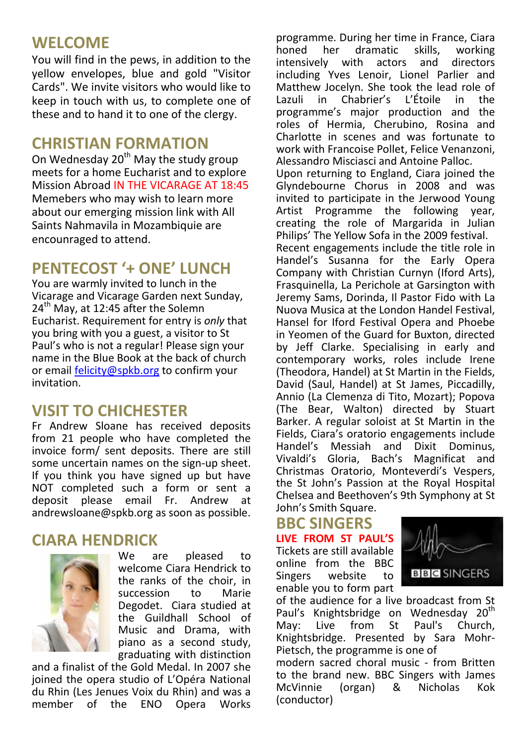# **WELCOME**

You will find in the pews, in addition to the yellow envelopes, blue and gold "Visitor Cards". We invite visitors who would like to keep in touch with us, to complete one of these and to hand it to one of the clergy.

## **CHRISTIAN FORMATION**

On Wednesday 20<sup>th</sup> May the study group meets for a home Eucharist and to explore Mission Abroad IN THE VICARAGE AT 18:45 Memebers who may wish to learn more about our emerging mission link with All Saints Nahmavila in Mozambiquie are encounraged to attend.

# **PENTECOST '+ ONE' LUNCH**

You are warmly invited to lunch in the Vicarage and Vicarage Garden next Sunday, 24<sup>th</sup> May, at 12:45 after the Solemn Eucharist. Requirement for entry is *only* that you bring with you a guest, a visitor to St Paul's who is not a regular! Please sign your name in the Blue Book at the back of church or email [felicity@spkb.org](mailto:felicity@spkb.org) to confirm your invitation.

# **VISIT TO CHICHESTER**

Fr Andrew Sloane has received deposits from 21 people who have completed the invoice form/ sent deposits. There are still some uncertain names on the sign-up sheet. If you think you have signed up but have NOT completed such a form or sent a deposit please email Fr. Andrew at andrewsloane@spkb.org as soon as possible.

## **CIARA HENDRICK**



We are pleased to welcome Ciara Hendrick to the ranks of the choir, in succession to Marie Degodet. Ciara studied at the Guildhall School of Music and Drama, with piano as a second study, graduating with distinction

and a finalist of the Gold Medal. In 2007 she joined the opera studio of L'Opéra National du Rhin (Les Jenues Voix du Rhin) and was a member of the ENO Opera Works

programme. During her time in France, Ciara<br>honed her dramatic skills. working her dramatic skills, working intensively with actors and directors including Yves Lenoir, Lionel Parlier and Matthew Jocelyn. She took the lead role of<br>Lazuli in Chabrier's L'Étoile in the Lazuli in Chabrier's L'Étoile in the programme's major production and the roles of Hermia, Cherubino, Rosina and Charlotte in scenes and was fortunate to work with Francoise Pollet, Felice Venanzoni, Alessandro Misciasci and Antoine Palloc. Upon returning to England, Ciara joined the Glyndebourne Chorus in 2008 and was invited to participate in the Jerwood Young Artist Programme the following year, creating the role of Margarida in Julian Philips' The Yellow Sofa in the 2009 festival. Recent engagements include the title role in Handel's Susanna for the Early Opera Company with Christian Curnyn (Iford Arts), Frasquinella, La Perichole at Garsington with Jeremy Sams, Dorinda, Il Pastor Fido with La Nuova Musica at the London Handel Festival, Hansel for Iford Festival Opera and Phoebe in Yeomen of the Guard for Buxton, directed by Jeff Clarke. Specialising in early and contemporary works, roles include Irene (Theodora, Handel) at St Martin in the Fields, David (Saul, Handel) at St James, Piccadilly, Annio (La Clemenza di Tito, Mozart); Popova (The Bear, Walton) directed by Stuart Barker. A regular soloist at St Martin in the Fields, Ciara's oratorio engagements include Handel's Messiah and Dixit Dominus, Vivaldi's Gloria, Bach's Magnificat and Christmas Oratorio, Monteverdi's Vespers, the St John's Passion at the Royal Hospital Chelsea and Beethoven's 9th Symphony at St John's Smith Square.

# **BBC SINGERS**

**LIVE FROM ST PAUL'S** Tickets are still available online from the BBC Singers website to enable you to form part



of the audience for a live broadcast from St Paul's Knightsbridge on Wednesday 20<sup>th</sup> May: Live from St Paul's Church, Knightsbridge. Presented by Sara Mohr-Pietsch, the programme is one of

modern sacred choral music - from Britten to the brand new. BBC Singers with James McVinnie (organ) & Nicholas Kok (conductor)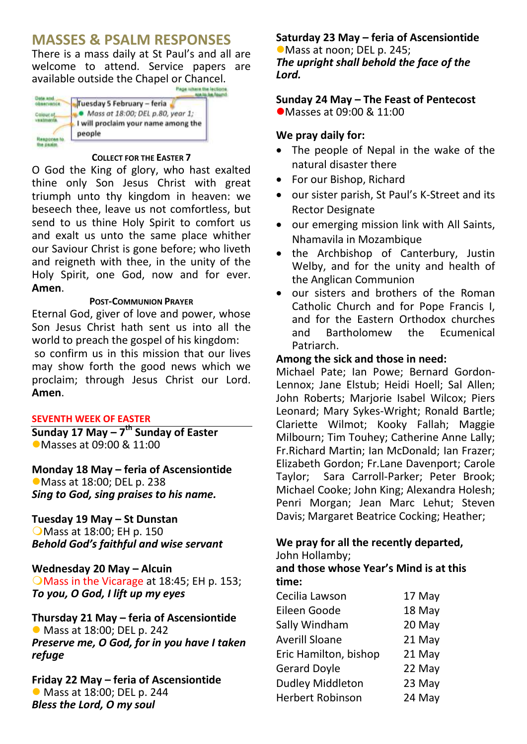## **MASSES & PSALM RESPONSES**

There is a mass daily at St Paul's and all are welcome to attend. Service papers are available outside the Chapel or Chancel.

| Tuesday 5 February - feria                    |
|-----------------------------------------------|
| Mass at 18:00; DEL p.80, year 1;              |
| I will proclaim your name among the<br>people |

#### **COLLECT FOR THE EASTER 7**

O God the King of glory, who hast exalted thine only Son Jesus Christ with great triumph unto thy kingdom in heaven: we beseech thee, leave us not comfortless, but send to us thine Holy Spirit to comfort us and exalt us unto the same place whither our Saviour Christ is gone before; who liveth and reigneth with thee, in the unity of the Holy Spirit, one God, now and for ever. **Amen**.

#### **POST-COMMUNION PRAYER**

Eternal God, giver of love and power, whose Son Jesus Christ hath sent us into all the world to preach the gospel of his kingdom: so confirm us in this mission that our lives may show forth the good news which we proclaim; through Jesus Christ our Lord. **Amen**.

#### **SEVENTH WEEK OF EASTER**

**Sunday 17 May – 7 th Sunday of Easter** Masses at 09:00 & 11:00

**Monday 18 May – feria of Ascensiontide** Mass at 18:00; DEL p. 238 *Sing to God, sing praises to his name.*

#### **Tuesday 19 May – St Dunstan**

**O**Mass at 18:00; EH p. 150 *Behold God's faithful and wise servant*

**Wednesday 20 May – Alcuin** OMass in the Vicarage at 18:45; EH p. 153; *To you, O God, I lift up my eyes*

#### **Thursday 21 May – feria of Ascensiontide** Mass at 18:00; DEL p. 242 *Preserve me, O God, for in you have I taken refuge*

**Friday 22 May – feria of Ascensiontide** Mass at 18:00; DEL p. 244 *Bless the Lord, O my soul*

## **Saturday 23 May – feria of Ascensiontide**

Mass at noon; DEL p. 245; *The upright shall behold the face of the Lord.*

## **Sunday 24 May – The Feast of Pentecost**

● Masses at 09:00 & 11:00

## **We pray daily for:**

- The people of Nepal in the wake of the natural disaster there
- For our Bishop, Richard
- our sister parish, St Paul's K-Street and its Rector Designate
- our emerging mission link with All Saints, Nhamavila in Mozambique
- the Archbishop of Canterbury, Justin Welby, and for the unity and health of the Anglican Communion
- our sisters and brothers of the Roman Catholic Church and for Pope Francis I, and for the Eastern Orthodox churches and Bartholomew the Ecumenical Patriarch.

### **Among the sick and those in need:**

Michael Pate; Ian Powe; Bernard Gordon-Lennox; Jane Elstub; Heidi Hoell; Sal Allen; John Roberts; Marjorie Isabel Wilcox; Piers Leonard; Mary Sykes-Wright; Ronald Bartle; Clariette Wilmot; Kooky Fallah; Maggie Milbourn; Tim Touhey; Catherine Anne Lally; Fr.Richard Martin; Ian McDonald; Ian Frazer; Elizabeth Gordon; Fr.Lane Davenport; Carole Taylor; Sara Carroll-Parker; Peter Brook; Michael Cooke; John King; Alexandra Holesh; Penri Morgan; Jean Marc Lehut; Steven Davis; Margaret Beatrice Cocking; Heather;

#### **We pray for all the recently departed,** John Hollamby;

### **and those whose Year's Mind is at this time:**

| Cecilia Lawson          | 17 May |
|-------------------------|--------|
| Eileen Goode            | 18 May |
| Sally Windham           | 20 May |
| <b>Averill Sloane</b>   | 21 May |
| Eric Hamilton, bishop   | 21 May |
| <b>Gerard Doyle</b>     | 22 May |
| <b>Dudley Middleton</b> | 23 May |
| <b>Herbert Robinson</b> | 24 May |